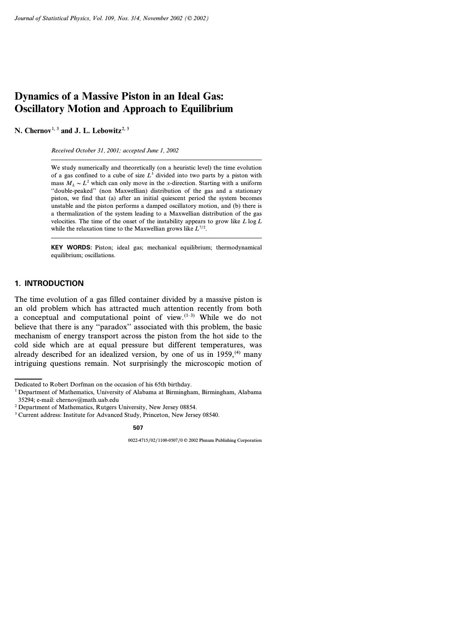# **Dynamics of a Massive Piston in an Ideal Gas: Oscillatory Motion and Approach to Equilibrium**

N. Chernov<sup>1, 3</sup> and J. L. Lebowitz<sup>2, 3</sup>

*Received October 31, 2001; accepted June 1, 2002*

We study numerically and theoretically (on a heuristic level) the time evolution of a gas confined to a cube of size  $L^3$  divided into two parts by a piston with mass  $M_L \sim L^2$  which can only move in the *x*-direction. Starting with a uniform ''double-peaked'' (non Maxwellian) distribution of the gas and a stationary piston, we find that (a) after an initial quiescent period the system becomes unstable and the piston performs a damped oscillatory motion, and (b) there is a thermalization of the system leading to a Maxwellian distribution of the gas velocities. The time of the onset of the instability appears to grow like *L* log *L* while the relaxation time to the Maxwellian grows like *L7/2*.

**KEY WORDS:** Piston; ideal gas; mechanical equilibrium; thermodynamical equilibrium; oscillations.

# **1. INTRODUCTION**

The time evolution of a gas filled container divided by a massive piston is an old problem which has attracted much attention recently from both a conceptual and computational point of view.(1–3) While we do not believe that there is any ''paradox'' associated with this problem, the basic mechanism of energy transport across the piston from the hot side to the cold side which are at equal pressure but different temperatures, was already described for an idealized version, by one of us in  $1959$ ,<sup>(4)</sup> many intriguing questions remain. Not surprisingly the microscopic motion of

Dedicated to Robert Dorfman on the occasion of his 65th birthday.

<sup>1</sup> Department of Mathematics, University of Alabama at Birmingham, Birmingham, Alabama 35294; e-mail: chernov@math.uab.edu

<sup>2</sup> Department of Mathematics, Rutgers University, New Jersey 08854.

<sup>3</sup> Current address: Institute for Advanced Study, Princeton, New Jersey 08540.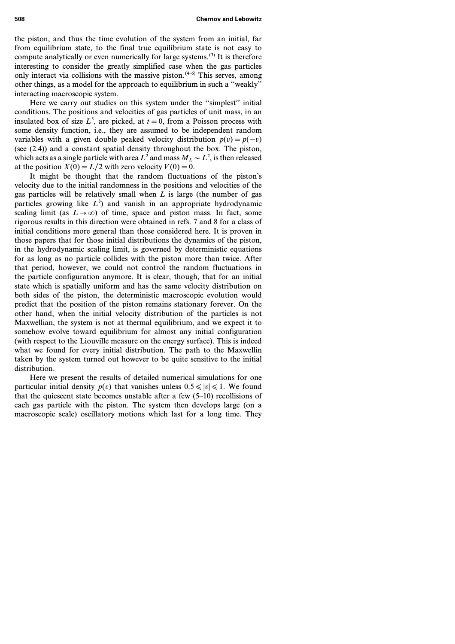**508 Chernov and Lebowitz**

the piston, and thus the time evolution of the system from an initial, far from equilibrium state, to the final true equilibrium state is not easy to compute analytically or even numerically for large systems.<sup>(3)</sup> It is therefore interesting to consider the greatly simplified case when the gas particles only interact via collisions with the massive piston.<sup> $(4-6)$ </sup> This serves, among other things, as a model for the approach to equilibrium in such a ''weakly'' interacting macroscopic system.

Here we carry out studies on this system under the ''simplest'' initial conditions. The positions and velocities of gas particles of unit mass, in an insulated box of size  $L^3$ , are picked, at  $t=0$ , from a Poisson process with some density function, i.e., they are assumed to be independent random variables with a given double peaked velocity distribution  $p(v) = p(-v)$ (see (2.4)) and a constant spatial density throughout the box. The piston, which acts as a single particle with area  $L^2$  and mass  $M_L \sim L^2$ , is then released at the position  $X(0) = L/2$  with zero velocity  $V(0) = 0$ .

It might be thought that the random fluctuations of the piston's velocity due to the initial randomness in the positions and velocities of the gas particles will be relatively small when  $\overline{L}$  is large (the number of gas particles growing like *L<sup>3</sup>* ) and vanish in an appropriate hydrodynamic scaling limit (as  $L \rightarrow \infty$ ) of time, space and piston mass. In fact, some rigorous results in this direction were obtained in refs. 7 and 8 for a class of initial conditions more general than those considered here. It is proven in those papers that for those initial distributions the dynamics of the piston, in the hydrodynamic scaling limit, is governed by deterministic equations for as long as no particle collides with the piston more than twice. After that period, however, we could not control the random fluctuations in the particle configuration anymore. It is clear, though, that for an initial state which is spatially uniform and has the same velocity distribution on both sides of the piston, the deterministic macroscopic evolution would predict that the position of the piston remains stationary forever. On the other hand, when the initial velocity distribution of the particles is not Maxwellian, the system is not at thermal equilibrium, and we expect it to somehow evolve toward equilibrium for almost any initial configuration (with respect to the Liouville measure on the energy surface). This is indeed what we found for every initial distribution. The path to the Maxwellin taken by the system turned out however to be quite sensitive to the initial distribution.

Here we present the results of detailed numerical simulations for one particular initial density  $p(v)$  that vanishes unless  $0.5 \le |v| \le 1$ . We found that the quiescent state becomes unstable after a few  $(5-10)$  recollisions of each gas particle with the piston. The system then develops large (on a macroscopic scale) oscillatory motions which last for a long time. They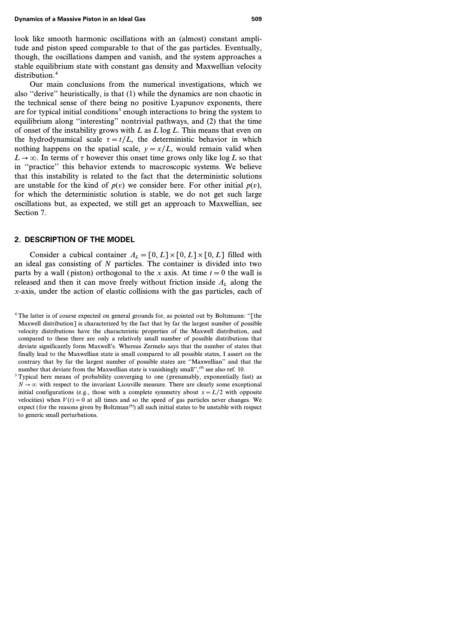look like smooth harmonic oscillations with an (almost) constant amplitude and piston speed comparable to that of the gas particles. Eventually, though, the oscillations dampen and vanish, and the system approaches a stable equilibrium state with constant gas density and Maxwellian velocity distribution.<sup>4</sup>

Our main conclusions from the numerical investigations, which we also ''derive'' heuristically, is that (1) while the dynamics are non chaotic in the technical sense of there being no positive Lyapunov exponents, there are for typical initial conditions<sup>5</sup> enough interactions to bring the system to equilibrium along ''interesting'' nontrivial pathways, and (2) that the time of onset of the instability grows with *L* as *L* log *L*. This means that even on the hydrodynamical scale  $\tau = t/L$ , the deterministic behavior in which nothing happens on the spatial scale,  $y=x/L$ , would remain valid when  $L \rightarrow \infty$ . In terms of  $\tau$  however this onset time grows only like log *L* so that in ''practice'' this behavior extends to macroscopic systems. We believe that this instability is related to the fact that the deterministic solutions are unstable for the kind of  $p(v)$  we consider here. For other initial  $p(v)$ , for which the deterministic solution is stable, we do not get such large oscillations but, as expected, we still get an approach to Maxwellian, see Section 7.

# **2. DESCRIPTION OF THE MODEL**

Consider a cubical container  $A<sub>L</sub> = [0, L] \times [0, L] \times [0, L]$  filled with an ideal gas consisting of *N* particles. The container is divided into two parts by a wall (piston) orthogonal to the *x* axis. At time  $t=0$  the wall is released and then it can move freely without friction inside  $\Lambda$ <sub>L</sub> along the *x*-axis, under the action of elastic collisions with the gas particles, each of

<sup>4</sup> The latter is of course expected on general grounds for, as pointed out by Boltzmann: ''[the Maxwell distribution] is characterized by the fact that by far the largest number of possible velocity distributions have the characteristic properties of the Maxwell distribution, and compared to these there are only a relatively small number of possible distributions that deviate significantly form Maxwell's. Whereas Zermelo says that the number of states that finally lead to the Maxwellian state is small compared to all possible states, I assert on the contrary that by far the largest number of possible states are ''Maxwellian'' and that the number that deviate from the Maxwellian state is vanishingly small", $(9)$  see also ref. 10.

<sup>5</sup> Typical here means of probability converging to one (presumably, exponentially fast) as  $N \rightarrow \infty$  with respect to the invariant Liouville measure. There are clearly some exceptional initial configurations (e.g., those with a complete symmetry about  $x = L/2$  with opposite velocities) when  $V(t) = 0$  at all times and so the speed of gas particles never changes. We expect (for the reasons given by Boltzman<sup> $(9)$ </sup>) all such initial states to be unstable with respect to generic small perturbations.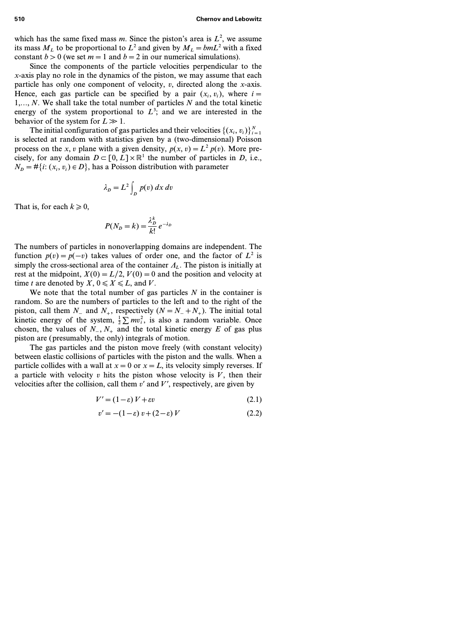which has the same fixed mass *m*. Since the piston's area is  $L^2$ , we assume its mass  $M_L$  to be proportional to  $L^2$  and given by  $M_L = bmL^2$  with a fixed constant  $b > 0$  (we set  $m = 1$  and  $b = 2$  in our numerical simulations).

Since the components of the particle velocities perpendicular to the *x*-axis play no role in the dynamics of the piston, we may assume that each particle has only one component of velocity, *v*, directed along the *x*-axis. Hence, each gas particle can be specified by a pair  $(x_i, v_i)$ , where  $i =$ *1,..., N*. We shall take the total number of particles *N* and the total kinetic energy of the system proportional to  $L^3$ ; and we are interested in the behavior of the system for  $L \gg 1$ .

The initial configuration of gas particles and their velocities  $\{(x_i, v_i)\}_{i=1}^N$ is selected at random with statistics given by a (two-dimensional) Poisson process on the *x*, *v* plane with a given density,  $p(x, v) = L^2 p(v)$ . More precisely, for any domain  $D \subset [0, L] \times \mathbb{R}^1$  the number of particles in *D*, i.e.,  $N_D = #\{i: (x_i, v_i) \in D\}$ , has a Poisson distribution with parameter

$$
\lambda_D = L^2 \int_D p(v) \, dx \, dv
$$

That is, for each  $k \geq 0$ ,

$$
P(N_D = k) = \frac{\lambda_D^k}{k!} e^{-\lambda_D}
$$

The numbers of particles in nonoverlapping domains are independent. The function  $p(v) = p(-v)$  takes values of order one, and the factor of  $L^2$  is simply the cross-sectional area of the container  $\Lambda$ <sub>L</sub>. The piston is initially at rest at the midpoint,  $X(0) = L/2$ ,  $V(0) = 0$  and the position and velocity at time *t* are denoted by *X*,  $0 \le X \le L$ , and *V*.

We note that the total number of gas particles  $N$  in the container is random. So are the numbers of particles to the left and to the right of the piston, call them  $N_-\$  and  $N_+$ , respectively  $(N = N_- + N_+)$ . The initial total kinetic energy of the system,  $\frac{1}{2} \sum mv_i^2$ , is also a random variable. Once chosen, the values of  $N_$ <sub>−</sub>,  $N_+$  and the total kinetic energy  $E$  of gas plus piston are (presumably, the only) integrals of motion.

The gas particles and the piston move freely (with constant velocity) between elastic collisions of particles with the piston and the walls. When a particle collides with a wall at  $x=0$  or  $x=L$ , its velocity simply reverses. If a particle with velocity *v* hits the piston whose velocity is  $\overline{V}$ , then their velocities after the collision, call them  $v'$  and  $V'$ , respectively, are given by

$$
V' = (1 - \varepsilon) V + \varepsilon v \tag{2.1}
$$

$$
v' = -(1 - \varepsilon) v + (2 - \varepsilon) V \tag{2.2}
$$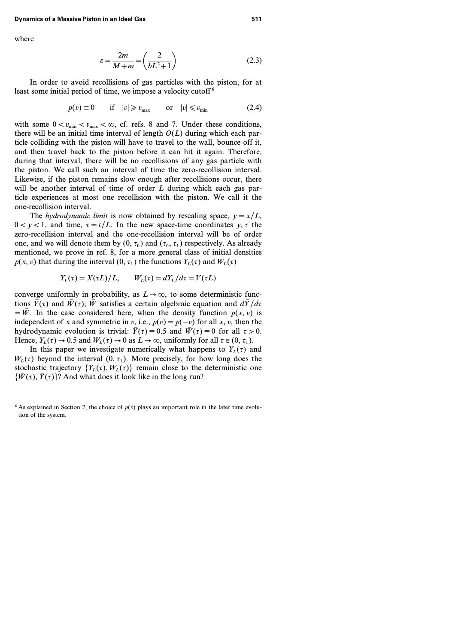where

$$
\varepsilon = \frac{2m}{M+m} = \left(\frac{2}{bL^2+1}\right) \tag{2.3}
$$

In order to avoid recollisions of gas particles with the piston, for at least some initial period of time, we impose a velocity cutoff<sup>6</sup>

$$
p(v) \equiv 0 \qquad \text{if} \quad |v| \geq v_{\text{max}} \qquad \text{or} \quad |v| \leq v_{\text{min}} \tag{2.4}
$$

with some  $0 < v_{min} < v_{max} < \infty$ , cf. refs. 8 and 7. Under these conditions, there will be an initial time interval of length *O(L)* during which each particle colliding with the piston will have to travel to the wall, bounce off it, and then travel back to the piston before it can hit it again. Therefore, during that interval, there will be no recollisions of any gas particle with the piston. We call such an interval of time the zero-recollision interval. Likewise, if the piston remains slow enough after recollisions occur, there will be another interval of time of order *L* during which each gas particle experiences at most one recollision with the piston. We call it the one-recollision interval.

The *hydrodynamic limit* is now obtained by rescaling space,  $y = x/L$ ,  $0 < y < 1$ , and time,  $\tau = t/L$ . In the new space-time coordinates  $y, \tau$  the zero-recollision interval and the one-recollision interval will be of order one, and we will denote them by  $(0, \tau_0)$  and  $(\tau_0, \tau_1)$  respectively. As already mentioned, we prove in ref. 8, for a more general class of initial densities  $p(x, v)$  that during the interval  $(0, \tau_1)$  the functions  $Y_L(\tau)$  and  $W_L(\tau)$ 

$$
Y_L(\tau) = X(\tau L)/L, \qquad W_L(\tau) = dY_L/d\tau = V(\tau L)
$$

converge uniformly in probability, as  $L \rightarrow \infty$ , to some deterministic functions  $\bar{Y}(\tau)$  and  $\bar{W}(\tau)$ ;  $\bar{W}$  satisfies a certain algebraic equation and  $d\bar{Y}/d\tau$  $=\bar{W}$ . In the case considered here, when the density function  $p(x, v)$  is independent of *x* and symmetric in *v*, i.e.,  $p(v) = p(-v)$  for all *x*, *v*, then the hydrodynamic evolution is trivial:  $\overline{Y}(\tau) \equiv 0.5$  and  $\overline{W}(\tau) \equiv 0$  for all  $\tau > 0$ . Hence,  $Y_L(\tau) \to 0.5$  and  $W_L(\tau) \to 0$  as  $L \to \infty$ , uniformly for all  $\tau \in (0, \tau_1)$ .

In this paper we investigate numerically what happens to  $Y<sub>L</sub>(\tau)$  and  $W<sub>L</sub>(\tau)$  beyond the interval  $(0, \tau<sub>1</sub>)$ . More precisely, for how long does the stochastic trajectory  ${Y_L(\tau), W_L(\tau)}$  remain close to the deterministic one  $\{\bar{W}(\tau), \bar{Y}(\tau)\}$ ? And what does it look like in the long run?

<sup>&</sup>lt;sup>6</sup> As explained in Section 7, the choice of  $p(v)$  plays an important role in the later time evolution of the system.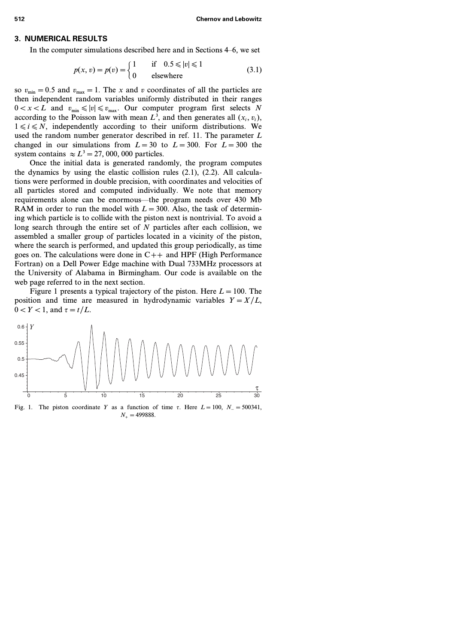## **3. NUMERICAL RESULTS**

In the computer simulations described here and in Sections 4–6, we set

$$
p(x, v) = p(v) = \begin{cases} 1 & \text{if } 0.5 \le |v| \le 1 \\ 0 & \text{elsewhere} \end{cases}
$$
(3.1)

so  $v_{\text{min}} = 0.5$  and  $v_{\text{max}} = 1$ . The *x* and *v* coordinates of all the particles are then independent random variables uniformly distributed in their ranges  $0 < x < L$  and  $v_{\text{min}} \le |v| \le v_{\text{max}}$ . Our computer program first selects *N* according to the Poisson law with mean  $L^3$ , and then generates all  $(x_i, v_i)$ ,  $1 \leq i \leq N$ , independently according to their uniform distributions. We used the random number generator described in ref. 11. The parameter *L* changed in our simulations from  $L=30$  to  $L=300$ . For  $L=300$  the system contains  $\approx L^3 = 27,000,000$  particles.

Once the initial data is generated randomly, the program computes the dynamics by using the elastic collision rules (2.1), (2.2). All calculations were performed in double precision, with coordinates and velocities of all particles stored and computed individually. We note that memory requirements alone can be enormous—the program needs over 430 Mb RAM in order to run the model with  $L = 300$ . Also, the task of determining which particle is to collide with the piston next is nontrivial. To avoid a long search through the entire set of *N* particles after each collision, we assembled a smaller group of particles located in a vicinity of the piston, where the search is performed, and updated this group periodically, as time goes on. The calculations were done in C*++* and HPF (High Performance Fortran) on a Dell Power Edge machine with Dual 733MHz processors at the University of Alabama in Birmingham. Our code is available on the web page referred to in the next section.

Figure 1 presents a typical trajectory of the piston. Here  $L = 100$ . The position and time are measured in hydrodynamic variables  $Y = X/L$ ,  $0 < Y < 1$ , and  $\tau = t/L$ .



Fig. 1. The piston coordinate *Y* as a function of time  $\tau$ . Here  $L = 100$ ,  $N = 500341$ , *N+=499888*.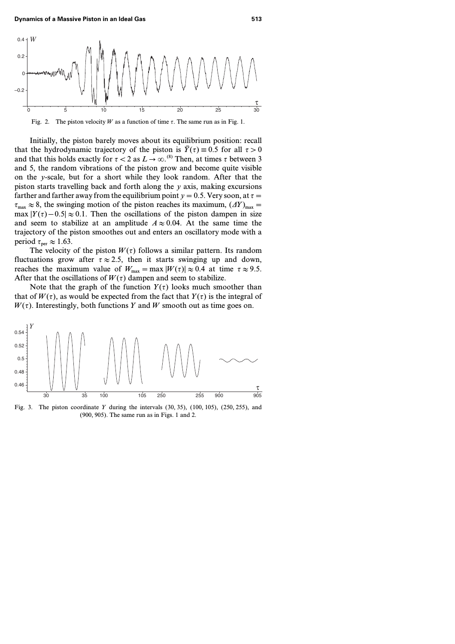

Fig. 2. The piston velocity *W* as a function of time  $\tau$ . The same run as in Fig. 1.

Initially, the piston barely moves about its equilibrium position: recall that the hydrodynamic trajectory of the piston is  $\bar{Y}(\tau) = 0.5$  for all  $\tau > 0$ and that this holds exactly for  $\tau < 2$  as  $L \rightarrow \infty$ .<sup>(8)</sup> Then, at times  $\tau$  between 3 and *5*, the random vibrations of the piston grow and become quite visible on the *y*-scale, but for a short while they look random. After that the piston starts travelling back and forth along the *y* axis, making excursions farther and farther away from the equilibrium point  $y=0.5$ . Very soon, at  $\tau =$  $\tau_{\text{max}} \approx 8$ , the swinging motion of the piston reaches its maximum,  $(\Delta Y)_{\text{max}} =$ max  $|Y(\tau) - 0.5| \approx 0.1$ . Then the oscillations of the piston dampen in size and seem to stabilize at an amplitude  $A \approx 0.04$ . At the same time the trajectory of the piston smoothes out and enters an oscillatory mode with a period  $\tau_{\text{per}} \approx 1.63$ .

The velocity of the piston  $W(\tau)$  follows a similar pattern. Its random fluctuations grow after  $\tau \approx 2.5$ , then it starts swinging up and down, reaches the maximum value of  $W_{\text{max}} = \max |W(\tau)| \approx 0.4$  at time  $\tau \approx 9.5$ . After that the oscillations of  $W(\tau)$  dampen and seem to stabilize.

Note that the graph of the function  $Y(\tau)$  looks much smoother than that of  $W(\tau)$ , as would be expected from the fact that  $Y(\tau)$  is the integral of  $W(\tau)$ . Interestingly, both functions *Y* and *W* smooth out as time goes on.



Fig. 3. The piston coordinate *Y* during the intervals *(30, 35)*, *(100, 105)*, *(250, 255)*, and *(900, 905)*. The same run as in Figs. 1 and 2.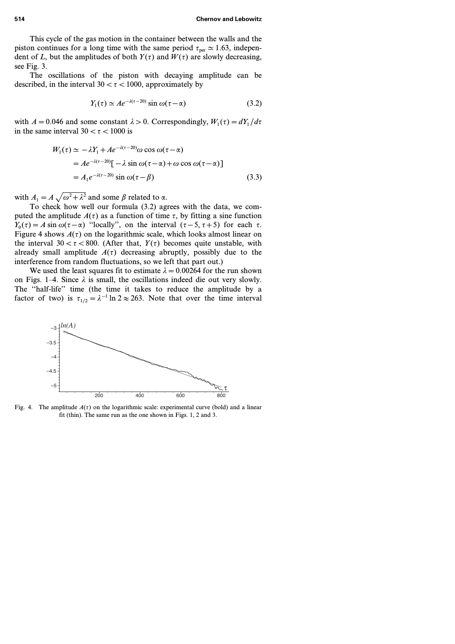This cycle of the gas motion in the container between the walls and the piston continues for a long time with the same period  $\tau_{\text{ner}} \simeq 1.63$ , independent of *L*, but the amplitudes of both  $Y(\tau)$  and  $W(\tau)$  are slowly decreasing, see Fig. 3.

The oscillations of the piston with decaying amplitude can be described, in the interval  $30 < \tau < 1000$ , approximately by

$$
Y_1(\tau) \simeq A e^{-\lambda(\tau - 20)} \sin \omega(\tau - \alpha) \tag{3.2}
$$

with  $A = 0.046$  and some constant  $\lambda > 0$ . Correspondingly,  $W_1(\tau) = dY_1/d\tau$ in the same interval  $30 < \tau < 1000$  is

$$
W_1(\tau) \simeq -\lambda Y_1 + Ae^{-\lambda(\tau - 20)}\omega \cos \omega(\tau - \alpha)
$$
  
=  $Ae^{-\lambda(\tau - 20)}[-\lambda \sin \omega(\tau - \alpha) + \omega \cos \omega(\tau - \alpha)]$   
=  $A_1e^{-\lambda(\tau - 20)} \sin \omega(\tau - \beta)$  (3.3)

with  $A_1 = A \sqrt{\omega^2 + \lambda^2}$  and some  $\beta$  related to  $\alpha$ .

To check how well our formula (3.2) agrees with the data, we computed the amplitude  $A(\tau)$  as a function of time  $\tau$ , by fitting a sine function *Y*<sub>0</sub>( $\tau$ ) = A sin  $\omega(\tau - \alpha)$  "locally", on the interval ( $\tau$  − 5,  $\tau$  + 5) for each  $\tau$ . Figure 4 shows  $A(\tau)$  on the logarithmic scale, which looks almost linear on the interval  $30 < \tau < 800$ . (After that,  $Y(\tau)$  becomes quite unstable, with already small amplitude  $A(\tau)$  decreasing abruptly, possibly due to the interference from random fluctuations, so we left that part out.)

We used the least squares fit to estimate  $\lambda = 0.00264$  for the run shown on Figs. 1–4. Since  $\lambda$  is small, the oscillations indeed die out very slowly. The ''half-life'' time (the time it takes to reduce the amplitude by a factor of two) is  $\tau_{1/2} = \lambda^{-1} \ln 2 \approx 263$ . Note that over the time interval



Fig. 4. The amplitude  $A(\tau)$  on the logarithmic scale: experimental curve (bold) and a linear fit (thin). The same run as the one shown in Figs. 1, 2 and 3.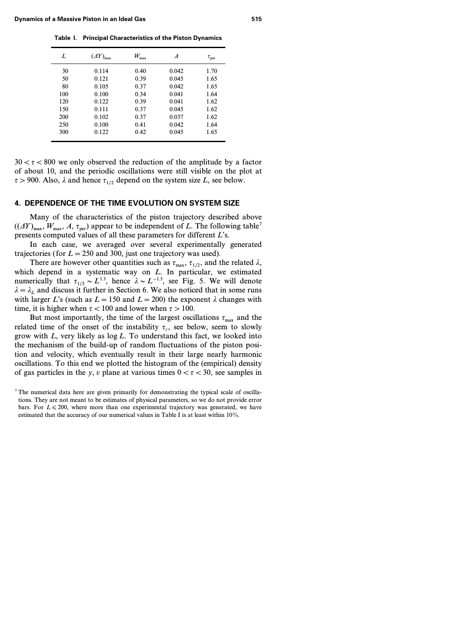| L   | $(\varDelta Y)_{\text{max}}$ | $W_{\rm max}$ | A     | $\tau_{\rm per}$ |
|-----|------------------------------|---------------|-------|------------------|
| 30  | 0.114                        | 0.40          | 0.042 | 1.70             |
| 50  | 0.121                        | 0.39          | 0.045 | 1.65             |
| 80  | 0.105                        | 0.37          | 0.042 | 1.65             |
| 100 | 0.100                        | 0.34          | 0.041 | 1.64             |
| 120 | 0.122                        | 0.39          | 0.041 | 1.62             |
| 150 | 0.111                        | 0.37          | 0.045 | 1.62             |
| 200 | 0.102                        | 0.37          | 0.037 | 1.62             |
| 250 | 0.100                        | 0.41          | 0.042 | 1.64             |
| 300 | 0.122                        | 0.42          | 0.045 | 1.65             |
|     |                              |               |       |                  |

**Table I. Principal Characteristics of the Piston Dynamics**

 $30 < \tau < 800$  we only observed the reduction of the amplitude by a factor of about 10, and the periodic oscillations were still visible on the plot at  $\tau$  > 900. Also,  $\lambda$  and hence  $\tau_{1/2}$  depend on the system size *L*, see below.

# **4. DEPENDENCE OF THE TIME EVOLUTION ON SYSTEM SIZE**

Many of the characteristics of the piston trajectory described above  $((\Delta Y)_{\text{max}}, W_{\text{max}}, A, \tau_{\text{per}})$  appear to be independent of *L*. The following table<sup>7</sup> presents computed values of all these parameters for different *L*'s.

In each case, we averaged over several experimentally generated trajectories (for  $L = 250$  and 300, just one trajectory was used).

There are however other quantities such as  $\tau_{\text{max}}$ ,  $\tau_{1/2}$ , and the related  $\lambda$ , which depend in a systematic way on *L*. In particular, we estimated numerically that  $\tau_{1/2} \sim L^{1.3}$ , hence  $\lambda \sim L^{-1.3}$ , see Fig. 5. We will denote  $\lambda = \lambda_L$  and discuss it further in Section 6. We also noticed that in some runs with larger *L*'s (such as  $L = 150$  and  $L = 200$ ) the exponent  $\lambda$  changes with time, it is higher when  $\tau$  < 100 and lower when  $\tau$  > 100.

But most importantly, the time of the largest oscillations  $\tau_{\text{max}}$  and the related time of the onset of the instability  $\tau_c$ , see below, seem to slowly grow with *L*, very likely as log *L*. To understand this fact, we looked into the mechanism of the build-up of random fluctuations of the piston position and velocity, which eventually result in their large nearly harmonic oscillations. To this end we plotted the histogram of the (empirical) density of gas particles in the *y*, *v* plane at various times  $0 < \tau < 30$ , see samples in

 $<sup>7</sup>$  The numerical data here are given primarily for demonstrating the typical scale of oscilla-</sup> tions. They are not meant to be estimates of physical parameters, so we do not provide error bars. For  $L \le 200$ , where more than one experimental trajectory was generated, we have estimated that the accuracy of our numerical values in Table I is at least within 10%.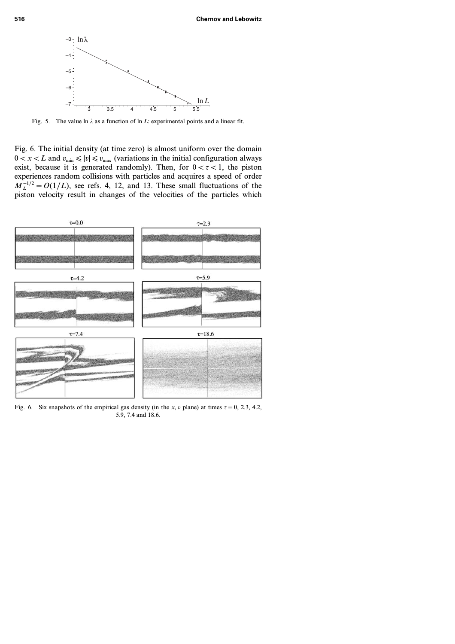

Fig. 5. The value ln  $\lambda$  as a function of ln *L*: experimental points and a linear fit.

Fig. 6. The initial density (at time zero) is almost uniform over the domain  $0 < x < L$  and  $v_{\text{min}} \le |v| \le v_{\text{max}}$  (variations in the initial configuration always exist, because it is generated randomly). Then, for  $0 < \tau < 1$ , the piston experiences random collisions with particles and acquires a speed of order  $M_L^{-1/2} = O(1/L)$ , see refs. 4, 12, and 13. These small fluctuations of the piston velocity result in changes of the velocities of the particles which



Fig. 6. Six snapshots of the empirical gas density (in the *x*, *v* plane) at times  $\tau = 0, 2.3, 4.2$ , 5.9, 7.4 and 18.6.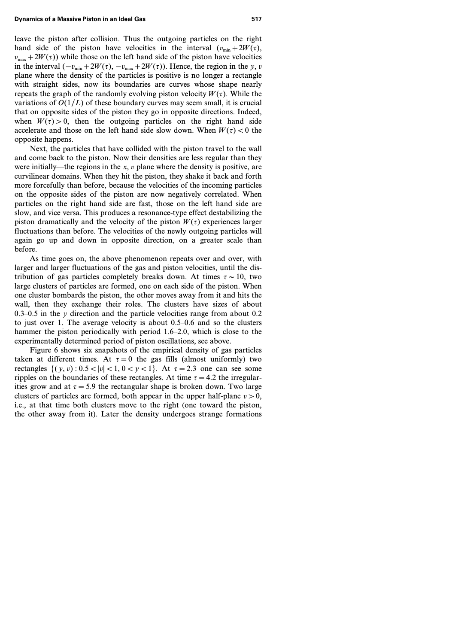leave the piston after collision. Thus the outgoing particles on the right hand side of the piston have velocities in the interval  $(v_{\min} + 2W(\tau))$ ,  $v_{\text{max}} + 2W(\tau)$ ) while those on the left hand side of the piston have velocities in the interval  $(-v_{min} + 2W(\tau), -v_{max} + 2W(\tau))$ . Hence, the region in the *y*, *v* plane where the density of the particles is positive is no longer a rectangle with straight sides, now its boundaries are curves whose shape nearly repeats the graph of the randomly evolving piston velocity  $W(\tau)$ . While the variations of  $O(1/L)$  of these boundary curves may seem small, it is crucial that on opposite sides of the piston they go in opposite directions. Indeed, when  $W(\tau) > 0$ , then the outgoing particles on the right hand side accelerate and those on the left hand side slow down. When  $W(\tau) < 0$  the opposite happens.

Next, the particles that have collided with the piston travel to the wall and come back to the piston. Now their densities are less regular than they were initially—the regions in the *x, v* plane where the density is positive, are curvilinear domains. When they hit the piston, they shake it back and forth more forcefully than before, because the velocities of the incoming particles on the opposite sides of the piston are now negatively correlated. When particles on the right hand side are fast, those on the left hand side are slow, and vice versa. This produces a resonance-type effect destabilizing the piston dramatically and the velocity of the piston  $W(\tau)$  experiences larger fluctuations than before. The velocities of the newly outgoing particles will again go up and down in opposite direction, on a greater scale than before.

As time goes on, the above phenomenon repeats over and over, with larger and larger fluctuations of the gas and piston velocities, until the distribution of gas particles completely breaks down. At times  $\tau \sim 10$ , two large clusters of particles are formed, one on each side of the piston. When one cluster bombards the piston, the other moves away from it and hits the wall, then they exchange their roles. The clusters have sizes of about 0.3–0.5 in the  $\nu$  direction and the particle velocities range from about 0.2 to just over 1. The average velocity is about 0.5–0.6 and so the clusters hammer the piston periodically with period 1.6–2.0, which is close to the experimentally determined period of piston oscillations, see above.

Figure 6 shows six snapshots of the empirical density of gas particles taken at different times. At  $\tau = 0$  the gas fills (almost uniformly) two rectangles  $\{(y, v): 0.5 < |v| < 1, 0 < y < 1\}$ . At  $\tau = 2.3$  one can see some ripples on the boundaries of these rectangles. At time  $\tau = 4.2$  the irregularities grow and at  $\tau = 5.9$  the rectangular shape is broken down. Two large clusters of particles are formed, both appear in the upper half-plane  $v > 0$ , i.e., at that time both clusters move to the right (one toward the piston, the other away from it). Later the density undergoes strange formations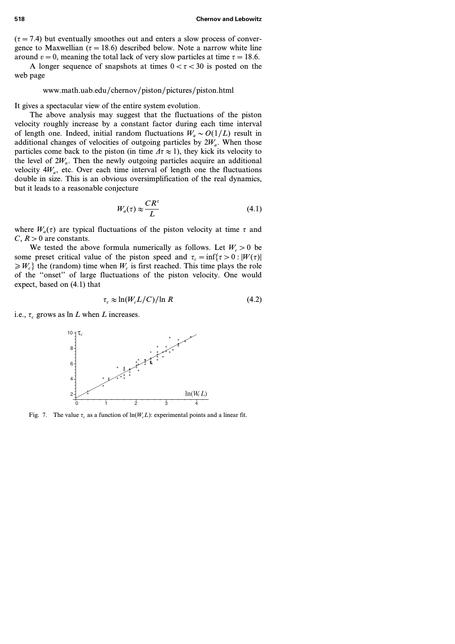$(\tau = 7.4)$  but eventually smoothes out and enters a slow process of convergence to Maxwellian ( $\tau = 18.6$ ) described below. Note a narrow white line around  $v=0$ , meaning the total lack of very slow particles at time  $\tau = 18.6$ .

A longer sequence of snapshots at times  $0 < \tau < 30$  is posted on the web page

## www.math.uab.edu/chernov/piston/pictures/piston.html

It gives a spectacular view of the entire system evolution.

The above analysis may suggest that the fluctuations of the piston velocity roughly increase by a constant factor during each time interval of length one. Indeed, initial random fluctuations  $W_a \sim O(1/L)$  result in additional changes of velocities of outgoing particles by  $2W_a$ . When those particles come back to the piston (in time  $\Delta \tau \approx 1$ ), they kick its velocity to the level of  $2W_a$ . Then the newly outgoing particles acquire an additional velocity  $4W_a$ , etc. Over each time interval of length one the fluctuations double in size. This is an obvious oversimplification of the real dynamics, but it leads to a reasonable conjecture

$$
W_a(\tau) \approx \frac{CR^{\tau}}{L} \tag{4.1}
$$

where  $W_a(\tau)$  are typical fluctuations of the piston velocity at time  $\tau$  and  $C, R > 0$  are constants.

We tested the above formula numerically as follows. Let  $W_c > 0$  be some preset critical value of the piston speed and  $\tau_c = \inf\{\tau > 0 : |W(\tau)|\}$  $\geqslant W_c$ <sup>2</sup> the (random) time when  $W_c$  is first reached. This time plays the role of the ''onset'' of large fluctuations of the piston velocity. One would expect, based on (4.1) that

$$
\tau_c \approx \ln(W_c L/C)/\ln R \tag{4.2}
$$

i.e.,  $\tau_c$  grows as ln *L* when *L* increases.



Fig. 7. The value  $\tau_c$  as a function of  $\ln(W_c L)$ : experimental points and a linear fit.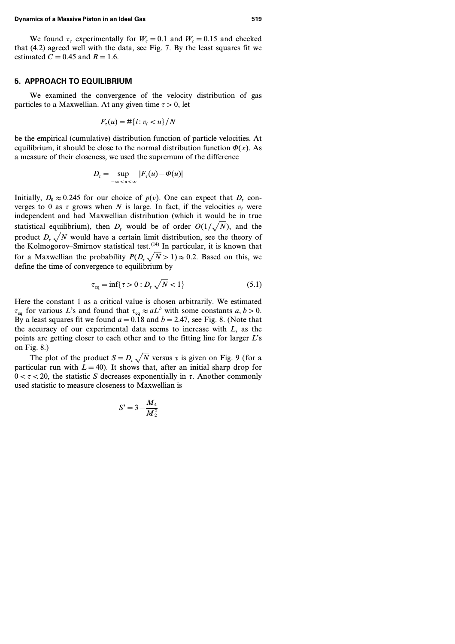We found  $\tau_c$  experimentally for  $W_c = 0.1$  and  $W_c = 0.15$  and checked that (4.2) agreed well with the data, see Fig. 7. By the least squares fit we estimated  $C=0.45$  and  $R=1.6$ .

# **5. APPROACH TO EQUILIBRIUM**

We examined the convergence of the velocity distribution of gas particles to a Maxwellian. At any given time  $\tau > 0$ , let

$$
F_{\tau}(u)=\#\{i\colon v_i
$$

be the empirical (cumulative) distribution function of particle velocities. At equilibrium, it should be close to the normal distribution function  $\Phi(x)$ . As a measure of their closeness, we used the supremum of the difference

$$
D_{\tau} = \sup_{-\infty < u < \infty} |F_{\tau}(u) - \Phi(u)|
$$

Initially,  $D_0 \approx 0.245$  for our choice of  $p(v)$ . One can expect that  $D<sub>r</sub>$  converges to 0 as  $\tau$  grows when *N* is large. In fact, if the velocities  $v_i$  were independent and had Maxwellian distribution (which it would be in true statistical equilibrium), then  $D<sub>r</sub>$  would be of order  $O(1/\sqrt{N})$ , and the product  $D_y \sqrt{N}$  would have a certain limit distribution, see the theory of the Kolmogorov–Smirnov statistical test.<sup> $(14)$ </sup> In particular, it is known that for a Maxwellian the probability  $P(D_\tau \sqrt{N} > 1) \approx 0.2$ . Based on this, we define the time of convergence to equilibrium by

$$
\tau_{\text{eq}} = \inf \{ \tau > 0 : D_{\tau} \sqrt{N} < 1 \}
$$
\n(5.1)

Here the constant 1 as a critical value is chosen arbitrarily. We estimated  $\tau_{eq}$  for various *L*'s and found that  $\tau_{eq} \approx aL^b$  with some constants *a, b > 0*. By a least squares fit we found  $a=0.18$  and  $b=2.47$ , see Fig. 8. (Note that the accuracy of our experimental data seems to increase with *L*, as the points are getting closer to each other and to the fitting line for larger *L*'s on Fig. 8.)

The plot of the product  $S = D<sub>r</sub> \sqrt{N}$  versus  $\tau$  is given on Fig. 9 (for a particular run with  $L=40$ ). It shows that, after an initial sharp drop for  $0 < \tau < 20$ , the statistic *S* decreases exponentially in  $\tau$ . Another commonly used statistic to measure closeness to Maxwellian is

$$
S'=3-\frac{M_4}{M_2^2}
$$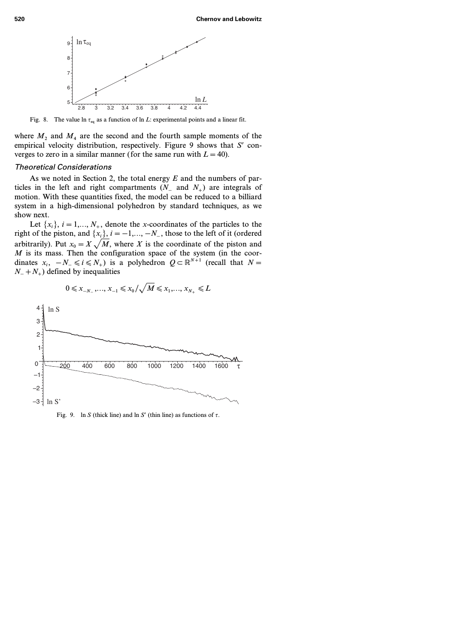

Fig. 8. The value  $\ln \tau_{eq}$  as a function of  $\ln L$ : experimental points and a linear fit.

where  $M_2$  and  $M_4$  are the second and the fourth sample moments of the empirical velocity distribution, respectively. Figure 9 shows that *S'* converges to zero in a similar manner (for the same run with  $L = 40$ ).

# Theoretical Considerations

As we noted in Section 2, the total energy *E* and the numbers of particles in the left and right compartments  $(N_-\text{ and }N_+)$  are integrals of motion. With these quantities fixed, the model can be reduced to a billiard system in a high-dimensional polyhedron by standard techniques, as we show next.

Let  $\{x_i\}$ ,  $i = 1,..., N_+$ , denote the *x*-coordinates of the particles to the right of the piston, and  $\{x_i\}$ ,  $i=-1,..., -N_-\}$ , those to the left of it (ordered arbitrarily). Put  $x_0 = X \sqrt{M}$ , where *X* is the coordinate of the piston and *M* is its mass. Then the configuration space of the system (in the coordinates  $x_i$ ,  $-N_-\le i \le N_+$ ) is a polyhedron  $Q \subset \mathbb{R}^{N+1}$  (recall that  $N=$ *N*<sup>−</sup> + *N*<sup>+</sup>) defined by inequalities



$$
0 \leq x_{-N_-},..., x_{-1} \leq x_0/\sqrt{M} \leq x_1,..., x_{N_+} \leq L
$$

Fig. 9. ln *S* (thick line) and ln *S'* (thin line) as functions of  $\tau$ .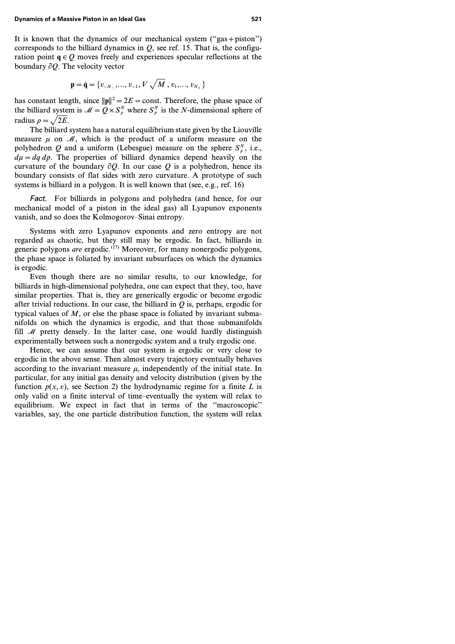It is known that the dynamics of our mechanical system  $("gas + piston")$ corresponds to the billiard dynamics in  $Q$ , see ref. 15. That is, the configuration point  $q \in Q$  moves freely and experiences specular reflections at the boundary  $\partial Q$ . The velocity vector

$$
\mathbf{p} = \dot{\mathbf{q}} = \{v_{-N_-}, ..., v_{-1}, V\sqrt{M}, v_1, ..., v_{N_+}\}
$$

has constant length, since  $||\mathbf{p}||^2 = 2E = \text{const.}$  Therefore, the phase space of the billiard system is  $\mathcal{M} = Q \times S_p^N$  where  $S_p^N$  is the *N*-dimensional sphere of radius  $\rho = \sqrt{2E}$ .

The billiard system has a natural equilibrium state given by the Liouville measure  $\mu$  on  $\mathcal{M}$ , which is the product of a uniform measure on the polyhedron *Q* and a uniform (Lebesgue) measure on the sphere  $S_\rho^N$ , i.e.,  $d\mu = dq dp$ . The properties of billiard dynamics depend heavily on the curvature of the boundary  $\partial Q$ . In our case Q is a polyhedron, hence its boundary consists of flat sides with zero curvature. A prototype of such systems is billiard in a polygon. It is well known that (see, e.g., ref. 16)

Fact. For billiards in polygons and polyhedra (and hence, for our mechanical model of a piston in the ideal gas) all Lyapunov exponents vanish, and so does the Kolmogorov–Sinai entropy.

Systems with zero Lyapunov exponents and zero entropy are not regarded as chaotic, but they still may be ergodic. In fact, billiards in generic polygons *are* ergodic.<sup>(17)</sup> Moreover, for many nonergodic polygons, the phase space is foliated by invariant subsurfaces on which the dynamics is ergodic.

Even though there are no similar results, to our knowledge, for billiards in high-dimensional polyhedra, one can expect that they, too, have similar properties. That is, they are generically ergodic or become ergodic after trivial reductions. In our case, the billiard in *Q* is, perhaps, ergodic for typical values of *M*, or else the phase space is foliated by invariant submanifolds on which the dynamics is ergodic, and that those submanifolds fill  $M$  pretty densely. In the latter case, one would hardly distinguish experimentally between such a nonergodic system and a truly ergodic one.

Hence, we can assume that our system is ergodic or very close to ergodic in the above sense. Then almost every trajectory eventually behaves according to the invariant measure  $\mu$ , independently of the initial state. In particular, for any initial gas density and velocity distribution (given by the function  $p(x, v)$ , see Section 2) the hydrodynamic regime for a finite *L* is only valid on a finite interval of time–eventually the system will relax to equilibrium. We expect in fact that in terms of the ''macroscopic'' variables, say, the one particle distribution function, the system will relax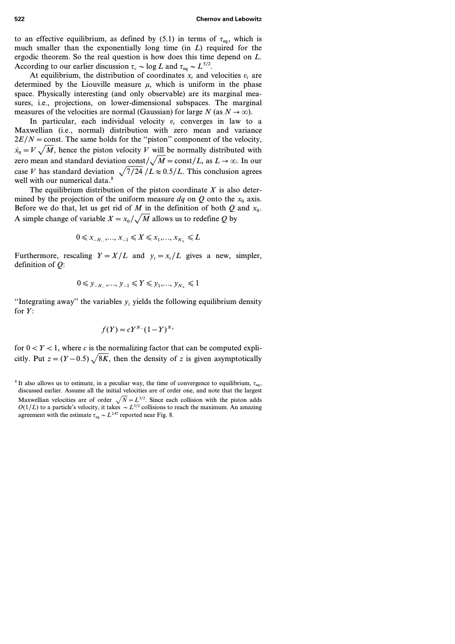**522 Chernov and Lebowitz**

to an effective equilibrium, as defined by (5.1) in terms of  $\tau_{eq}$ , which is much smaller than the exponentially long time (in *L*) required for the ergodic theorem. So the real question is how does this time depend on *L*. According to our earlier discussion  $\tau_c \sim \log L$  and  $\tau_{eq} \sim L^{5/2}$ .

At equilibrium, the distribution of coordinates  $x_i$  and velocities  $v_i$  are determined by the Liouville measure  $\mu$ , which is uniform in the phase space. Physically interesting (and only observable) are its marginal measures, i.e., projections, on lower-dimensional subspaces. The marginal measures of the velocities are normal (Gaussian) for large *N* (as  $N \to \infty$ ).

In particular, each individual velocity  $v_i$  converges in law to a Maxwellian (i.e., normal) distribution with zero mean and variance  $2E/N = \text{const.}$  The same holds for the "piston" component of the velocity,  $\dot{x}_0 = V \sqrt{M}$ , hence the piston velocity *V* will be normally distributed with zero mean and standard deviation const $\sqrt{M}$  = const/L, as  $L \rightarrow \infty$ . In our case *V* has standard deviation  $\sqrt{7/24}$  /L  $\approx 0.5/L$ . This conclusion agrees well with our numerical data.<sup>8</sup>

The equilibrium distribution of the piston coordinate *X* is also determined by the projection of the uniform measure  $dq$  on  $Q$  onto the  $x_0$  axis. Before we do that, let us get rid of *M* in the definition of both  $Q$  and  $x_0$ . A simple change of variable  $X = x_0 / \sqrt{M}$  allows us to redefine *Q* by

$$
0 \leq x_{-N_-},..., x_{-1} \leq X \leq x_1,..., x_{N_+} \leq L
$$

Furthermore, rescaling  $Y = X/L$  and  $y_i = x_i/L$  gives a new, simpler, definition of *Q*:

$$
0 \leq y_{-N_-}, \ldots, y_{-1} \leq Y \leq y_1, \ldots, y_{N_+} \leq 1
$$

"Integrating away" the variables  $y_i$  yields the following equilibrium density for *Y*:

$$
f(Y) = cY^{N-}(1-Y)^{N+}
$$

for  $0 < Y < 1$ , where *c* is the normalizing factor that can be computed explicitly. Put  $z = (Y - 0.5) \sqrt{8K}$ , then the density of *z* is given asymptotically

<sup>&</sup>lt;sup>8</sup> It also allows us to estimate, in a peculiar way, the time of convergence to equilibrium,  $\tau_{eq}$ , discussed earlier. Assume all the initial velocities are of order one, and note that the largest Maxwellian velocities are of order  $\sqrt{N}=L^{3/2}$ . Since each collision with the piston adds  $O(1/L)$  to a particle's velocity, it takes  $\sim L^{5/2}$  collisions to reach the maximum. An amazing agreement with the estimate  $\tau_{eq} \sim L^{2.47}$  reported near Fig. 8.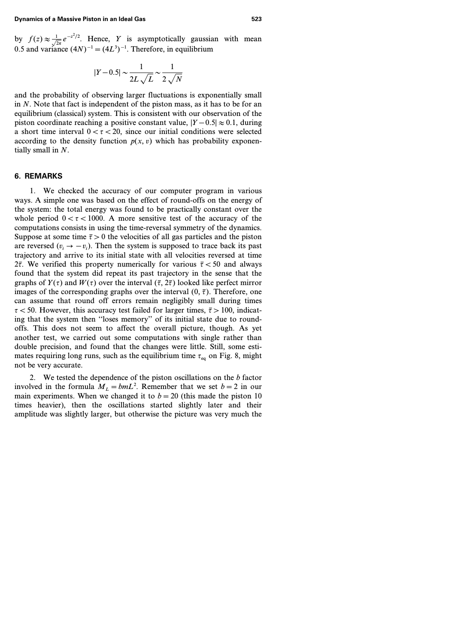by  $f(z) \approx \frac{1}{\sqrt{2\pi}} e^{-z^2/2}$ . Hence, *Y* is asymptotically gaussian with mean 0.5 and variance  $(4N)^{-1} = (4L^3)^{-1}$ . Therefore, in equilibrium

$$
|Y - 0.5| \sim \frac{1}{2L\sqrt{L}} \sim \frac{1}{2\sqrt{N}}
$$

and the probability of observing larger fluctuations is exponentially small in *N*. Note that fact is independent of the piston mass, as it has to be for an equilibrium (classical) system. This is consistent with our observation of the piston coordinate reaching a positive constant value,  $|Y - 0.5| \approx 0.1$ , during a short time interval  $0 < \tau < 20$ , since our initial conditions were selected according to the density function  $p(x, v)$  which has probability exponentially small in *N*.

# **6. REMARKS**

1. We checked the accuracy of our computer program in various ways. A simple one was based on the effect of round-offs on the energy of the system: the total energy was found to be practically constant over the whole period  $0 < \tau < 1000$ . A more sensitive test of the accuracy of the computations consists in using the time-reversal symmetry of the dynamics. Suppose at some time  $\bar{\tau} > 0$  the velocities of all gas particles and the piston are reversed  $(v_i \rightarrow -v_i)$ . Then the system is supposed to trace back its past trajectory and arrive to its initial state with all velocities reversed at time 2 $\bar{\tau}$ . We verified this property numerically for various  $\bar{\tau}$  < 50 and always found that the system did repeat its past trajectory in the sense that the graphs of  $Y(\tau)$  and  $W(\tau)$  over the interval  $(\bar{\tau}, 2\bar{\tau})$  looked like perfect mirror images of the corresponding graphs over the interval  $(0, \bar{\tau})$ . Therefore, one can assume that round off errors remain negligibly small during times  $\tau$  < 50. However, this accuracy test failed for larger times,  $\bar{\tau}$  > 100, indicating that the system then ''loses memory'' of its initial state due to roundoffs. This does not seem to affect the overall picture, though. As yet another test, we carried out some computations with single rather than double precision, and found that the changes were little. Still, some estimates requiring long runs, such as the equilibrium time  $\tau_{eq}$  on Fig. 8, might not be very accurate.

2. We tested the dependence of the piston oscillations on the *b* factor involved in the formula  $M_L = bmL^2$ . Remember that we set  $b = 2$  in our main experiments. When we changed it to  $b=20$  (this made the piston 10 times heavier), then the oscillations started slightly later and their amplitude was slightly larger, but otherwise the picture was very much the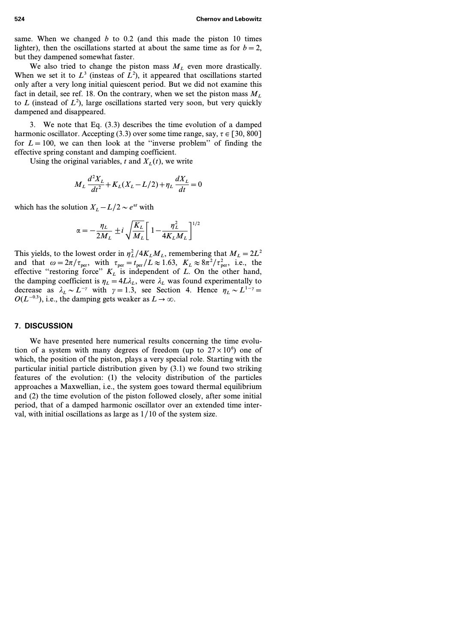same. When we changed *b* to 0.2 (and this made the piston 10 times lighter), then the oscillations started at about the same time as for  $b=2$ , but they dampened somewhat faster.

We also tried to change the piston mass  $M_L$  even more drastically. When we set it to  $L^3$  (insteas of  $L^2$ ), it appeared that oscillations started only after a very long initial quiescent period. But we did not examine this fact in detail, see ref. 18. On the contrary, when we set the piston mass  $M_L$ to *L* (instead of *L<sup>2</sup>* ), large oscillations started very soon, but very quickly dampened and disappeared.

3. We note that Eq. (3.3) describes the time evolution of a damped harmonic oscillator. Accepting (3.3) over some time range, say,  $\tau \in [30, 800]$ for  $L=100$ , we can then look at the "inverse problem" of finding the effective spring constant and damping coefficient.

Using the original variables, *t* and  $X<sub>L</sub>(t)$ , we write

$$
M_L \frac{d^2 X_L}{dt^2} + K_L (X_L - L/2) + \eta_L \frac{d X_L}{dt} = 0
$$

which has the solution  $X_L - L/2 \sim e^{\alpha t}$  with

$$
\alpha = -\frac{\eta_L}{2M_L} \pm i \sqrt{\frac{K_L}{M_L}} \left[ 1 - \frac{\eta_L^2}{4K_L M_L} \right]^{1/2}
$$

This yields, to the lowest order in  $\eta_L^2/4K_LM_L$ , remembering that  $M_L = 2L^2$ and that  $\omega = 2\pi/\tau_{\text{per}}$ , with  $\tau_{\text{per}} = t_{\text{per}}/L \approx 1.63$ ,  $K_L \approx 8\pi^2/\tau_{\text{per}}^2$ , i.e., the effective "restoring force"  $K_L$  is independent of *L*. On the other hand, the damping coefficient is  $\eta_L = 4L\lambda_L$ , were  $\lambda_L$  was found experimentally to decrease as  $\lambda_L \sim L^{-\gamma}$  with  $\gamma = 1.3$ , see Section 4. Hence  $\eta_L \sim L^{1-\gamma} =$  $O(L^{-0.3})$ , i.e., the damping gets weaker as  $L \rightarrow \infty$ .

## **7. DISCUSSION**

We have presented here numerical results concerning the time evolution of a system with many degrees of freedom (up to  $27 \times 10^6$ ) one of which, the position of the piston, plays a very special role. Starting with the particular initial particle distribution given by (3.1) we found two striking features of the evolution: (1) the velocity distribution of the particles approaches a Maxwellian, i.e., the system goes toward thermal equilibrium and (2) the time evolution of the piston followed closely, after some initial period, that of a damped harmonic oscillator over an extended time interval, with initial oscillations as large as 1/10 of the system size.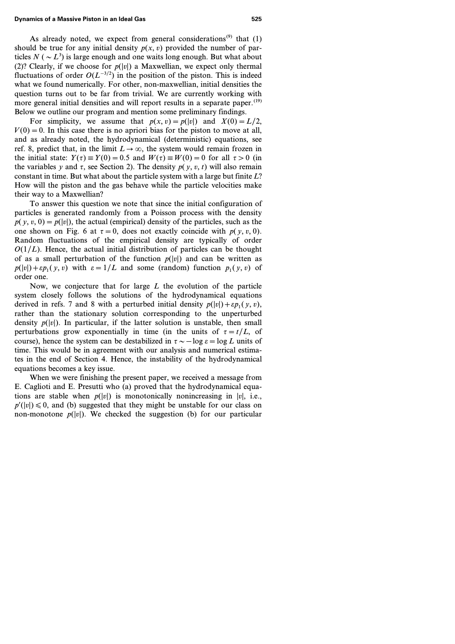As already noted, we expect from general considerations<sup>(9)</sup> that  $(1)$ should be true for any initial density  $p(x, v)$  provided the number of particles  $N (\sim L^3)$  is large enough and one waits long enough. But what about (2)? Clearly, if we choose for  $p(|v|)$  a Maxwellian, we expect only thermal fluctuations of order  $O(L^{-3/2})$  in the position of the piston. This is indeed what we found numerically. For other, non-maxwellian, initial densities the question turns out to be far from trivial. We are currently working with more general initial densities and will report results in a separate paper.<sup>(19)</sup> Below we outline our program and mention some preliminary findings.

For simplicity, we assume that  $p(x, v) = p(|v|)$  and  $X(0) = L/2$ ,  $V(0) = 0$ . In this case there is no apriori bias for the piston to move at all, and as already noted, the hydrodynamical (deterministic) equations, see ref. 8, predict that, in the limit  $L \rightarrow \infty$ , the system would remain frozen in the initial state:  $Y(\tau) \equiv Y(0) = 0.5$  and  $W(\tau) \equiv W(0) = 0$  for all  $\tau > 0$  (in the variables *y* and  $\tau$ , see Section 2). The density  $p(y, v, t)$  will also remain constant in time. But what about the particle system with a large but finite *L*? How will the piston and the gas behave while the particle velocities make their way to a Maxwellian?

To answer this question we note that since the initial configuration of particles is generated randomly from a Poisson process with the density  $p(y, v, 0) = p(|v|)$ , the actual (empirical) density of the particles, such as the one shown on Fig. 6 at  $\tau = 0$ , does not exactly coincide with  $p(y, v, 0)$ . Random fluctuations of the empirical density are typically of order  $O(1/L)$ . Hence, the actual initial distribution of particles can be thought of as a small perturbation of the function  $p(|v|)$  and can be written as  $p(|v|) + \varepsilon p_1(v, v)$  with  $\varepsilon = 1/L$  and some (random) function  $p_1(y, v)$  of order one.

Now, we conjecture that for large *L* the evolution of the particle system closely follows the solutions of the hydrodynamical equations derived in refs. 7 and 8 with a perturbed initial density  $p(|v|) + \varepsilon p_1(v, v)$ , rather than the stationary solution corresponding to the unperturbed density  $p(|v|)$ . In particular, if the latter solution is unstable, then small perturbations grow exponentially in time (in the units of  $\tau = t/L$ , of course), hence the system can be destabilized in  $\tau \sim -\log \epsilon = \log L$  units of time. This would be in agreement with our analysis and numerical estimates in the end of Section 4. Hence, the instability of the hydrodynamical equations becomes a key issue.

When we were finishing the present paper, we received a message from E. Caglioti and E. Presutti who (a) proved that the hydrodynamical equations are stable when  $p(|v|)$  is monotonically nonincreasing in  $|v|$ , i.e.,  $p'(|v|) \leq 0$ , and (b) suggested that they might be unstable for our class on non-monotone  $p(|v|)$ . We checked the suggestion (b) for our particular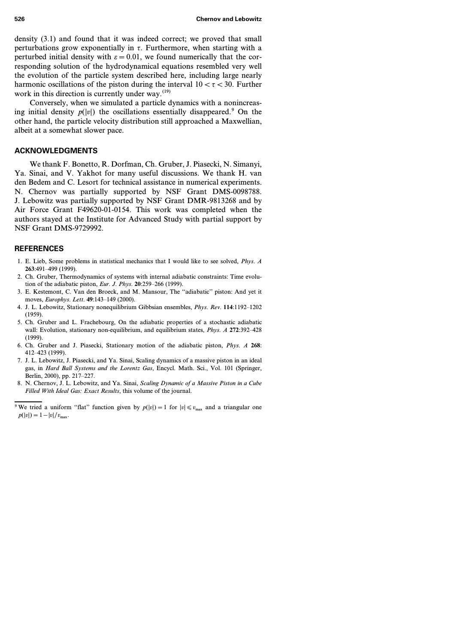density (3.1) and found that it was indeed correct; we proved that small perturbations grow exponentially in  $\tau$ . Furthermore, when starting with a perturbed initial density with  $\varepsilon = 0.01$ , we found numerically that the corresponding solution of the hydrodynamical equations resembled very well the evolution of the particle system described here, including large nearly harmonic oscillations of the piston during the interval  $10 < \tau < 30$ . Further work in this direction is currently under way.<sup>(19)</sup>

Conversely, when we simulated a particle dynamics with a nonincreasing initial density  $p(|v|)$  the oscillations essentially disappeared.<sup>9</sup> On the other hand, the particle velocity distribution still approached a Maxwellian, albeit at a somewhat slower pace.

# **ACKNOWLEDGMENTS**

We thank F. Bonetto, R. Dorfman, Ch. Gruber, J. Piasecki, N. Simanyi, Ya. Sinai, and V. Yakhot for many useful discussions. We thank H. van den Bedem and C. Lesort for technical assistance in numerical experiments. N. Chernov was partially supported by NSF Grant DMS-0098788. J. Lebowitz was partially supported by NSF Grant DMR-9813268 and by Air Force Grant F49620-01-0154. This work was completed when the authors stayed at the Institute for Advanced Study with partial support by NSF Grant DMS-9729992.

# **REFERENCES**

- 1. E. Lieb, Some problems in statistical mechanics that I would like to see solved, *Phys. A* **263**:491–499 (1999).
- 2. Ch. Gruber, Thermodynamics of systems with internal adiabatic constraints: Time evolution of the adiabatic piston, *Eur. J. Phys.* **20**:259–266 (1999).
- 3. E. Kestemont, C. Van den Broeck, and M. Mansour, The ''adiabatic'' piston: And yet it moves, *Europhys. Lett.* **49**:143–149 (2000).
- 4. J. L. Lebowitz, Stationary nonequilibrium Gibbsian ensembles, *Phys. Rev.* **114**:1192–1202 (1959).
- 5. Ch. Gruber and L. Frachebourg, On the adiabatic properties of a stochastic adiabatic wall: Evolution, stationary non-equilibrium, and equilibrium states, *Phys. A* **272**:392–428 (1999).
- 6. Ch. Gruber and J. Piasecki, Stationary motion of the adiabatic piston, *Phys. A* **268**: 412–423 (1999).
- 7. J. L. Lebowitz, J. Piasecki, and Ya. Sinai, Scaling dynamics of a massive piston in an ideal gas, in *Hard Ball Systems and the Lorentz Gas*, Encycl. Math. Sci., Vol. 101 (Springer, Berlin, 2000), pp. 217–227.
- 8. N. Chernov, J. L. Lebowitz, and Ya. Sinai, *Scaling Dynamic of a Massive Piston in a Cube Filled With Ideal Gas: Exact Results*, this volume of the journal.

<sup>&</sup>lt;sup>9</sup> We tried a uniform "flat" function given by  $p(|v|) = 1$  for  $|v| \le v_{\text{max}}$  and a triangular one  $p(|v|)=1 - |v|/v_{\text{max}}$ .